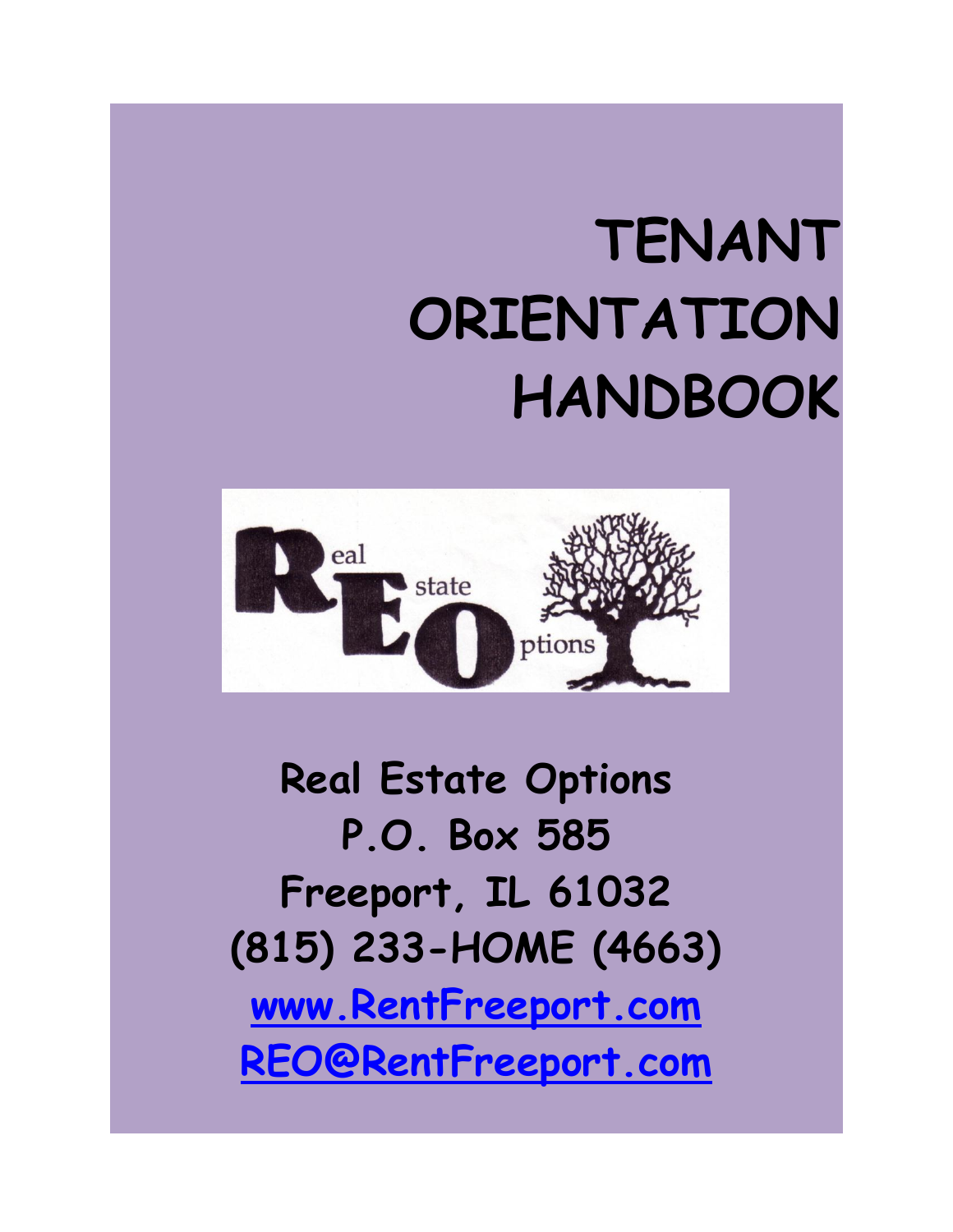# **TENANT ORIENTATION HANDBOOK**



**Real Estate Options P.O. Box 585 Freeport, IL 61032 (815) 233-HOME (4663) [www.RentFreeport.com](http://www.rentfreeport.com/) [REO@RentFreeport.com](mailto:REO@RentFreeport.com)**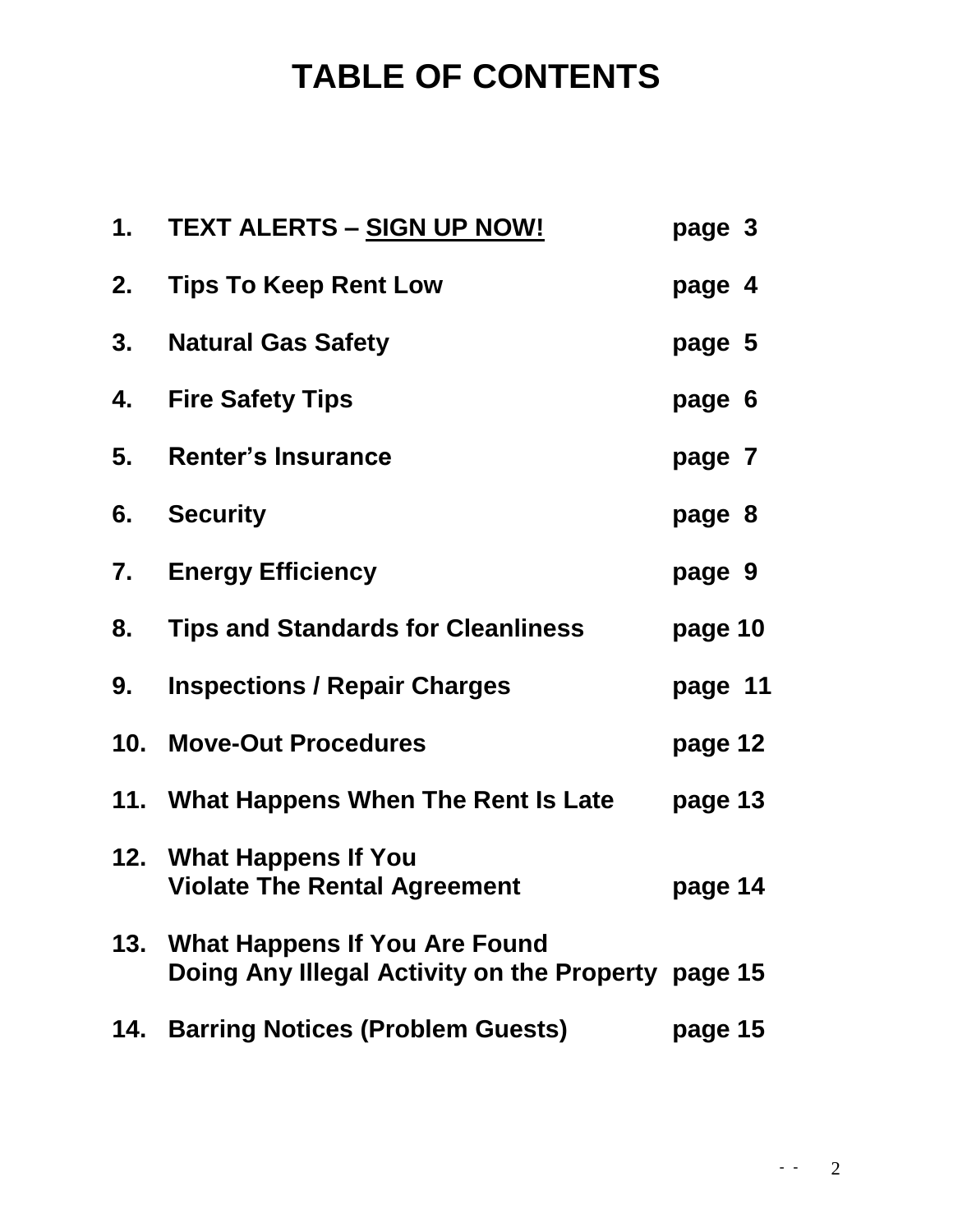### **TABLE OF CONTENTS**

| 1. | <b>TEXT ALERTS - SIGN UP NOW!</b>                                                       | page 3  |
|----|-----------------------------------------------------------------------------------------|---------|
| 2. | <b>Tips To Keep Rent Low</b>                                                            | page 4  |
| 3. | <b>Natural Gas Safety</b>                                                               | page 5  |
| 4. | <b>Fire Safety Tips</b>                                                                 | page 6  |
|    | 5. Renter's Insurance                                                                   | page 7  |
|    | 6. Security                                                                             | page 8  |
|    | 7. Energy Efficiency                                                                    | page 9  |
| 8. | <b>Tips and Standards for Cleanliness</b>                                               | page 10 |
|    | 9. Inspections / Repair Charges                                                         | page 11 |
|    | <b>10. Move-Out Procedures</b>                                                          | page 12 |
|    | 11. What Happens When The Rent Is Late                                                  | page 13 |
|    | 12. What Happens If You<br><b>Violate The Rental Agreement</b>                          | page 14 |
|    | 13. What Happens If You Are Found<br>Doing Any Illegal Activity on the Property page 15 |         |
|    | 14. Barring Notices (Problem Guests)                                                    | page 15 |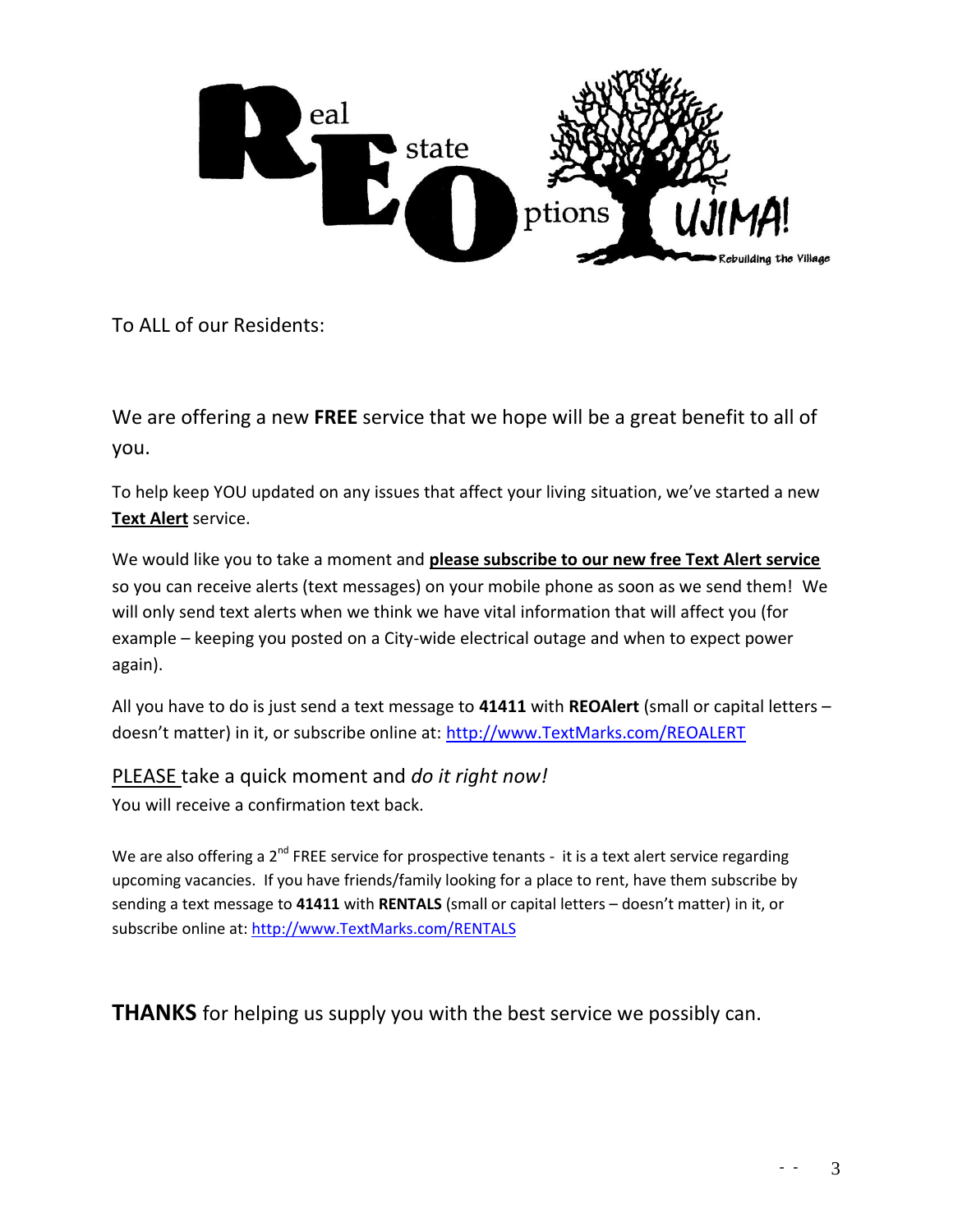

To ALL of our Residents:

We are offering a new **FREE** service that we hope will be a great benefit to all of you.

To help keep YOU updated on any issues that affect your living situation, we've started a new **Text Alert** service.

We would like you to take a moment and **please subscribe to our new free Text Alert service** so you can receive alerts (text messages) on your mobile phone as soon as we send them! We will only send text alerts when we think we have vital information that will affect you (for example – keeping you posted on a City-wide electrical outage and when to expect power again).

All you have to do is just send a text message to **41411** with **REOAlert** (small or capital letters – doesn't matter) in it, or subscribe online at: [http://www.TextMarks.com/REOALERT](http://www.textmarks.com/REOALERT)

PLEASE take a quick moment and *do it right now!* You will receive a confirmation text back.

We are also offering a  $2^{nd}$  FREE service for prospective tenants - it is a text alert service regarding upcoming vacancies. If you have friends/family looking for a place to rent, have them subscribe by sending a text message to **41411** with **RENTALS** (small or capital letters – doesn't matter) in it, or subscribe online at[: http://www.TextMarks.com/RENTALS](http://www.textmarks.com/RENTALS)

**THANKS** for helping us supply you with the best service we possibly can.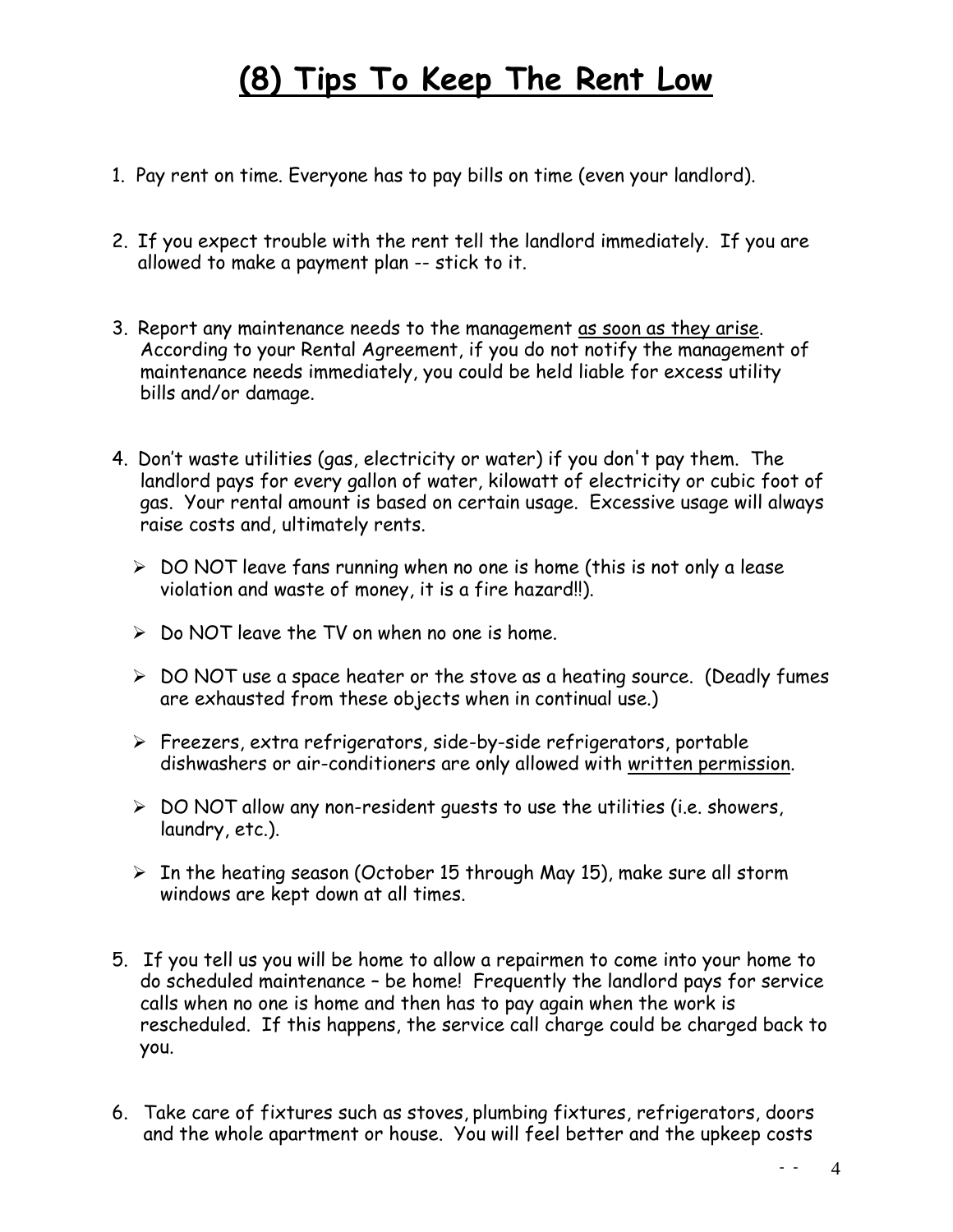### **(8) Tips To Keep The Rent Low**

- 1. Pay rent on time. Everyone has to pay bills on time (even your landlord).
- 2. If you expect trouble with the rent tell the landlord immediately. If you are allowed to make a payment plan -- stick to it.
- 3. Report any maintenance needs to the management as soon as they arise. According to your Rental Agreement, if you do not notify the management of maintenance needs immediately, you could be held liable for excess utility bills and/or damage.
- 4. Don't waste utilities (gas, electricity or water) if you don't pay them. The landlord pays for every gallon of water, kilowatt of electricity or cubic foot of gas. Your rental amount is based on certain usage. Excessive usage will always raise costs and, ultimately rents.
	- $\triangleright$  DO NOT leave fans running when no one is home (this is not only a lease violation and waste of money, it is a fire hazard!!).
	- $\triangleright$  Do NOT leave the TV on when no one is home.
	- > DO NOT use a space heater or the stove as a heating source. (Deadly fumes are exhausted from these objects when in continual use.)
	- $\triangleright$  Freezers, extra refrigerators, side-by-side refrigerators, portable dishwashers or air-conditioners are only allowed with written permission.
	- $\triangleright$  DO NOT allow any non-resident quests to use the utilities (i.e. showers, laundry, etc.).
	- $\triangleright$  In the heating season (October 15 through May 15), make sure all storm windows are kept down at all times.
- 5. If you tell us you will be home to allow a repairmen to come into your home to do scheduled maintenance – be home! Frequently the landlord pays for service calls when no one is home and then has to pay again when the work is rescheduled. If this happens, the service call charge could be charged back to you.
- 6. Take care of fixtures such as stoves, plumbing fixtures, refrigerators, doors and the whole apartment or house. You will feel better and the upkeep costs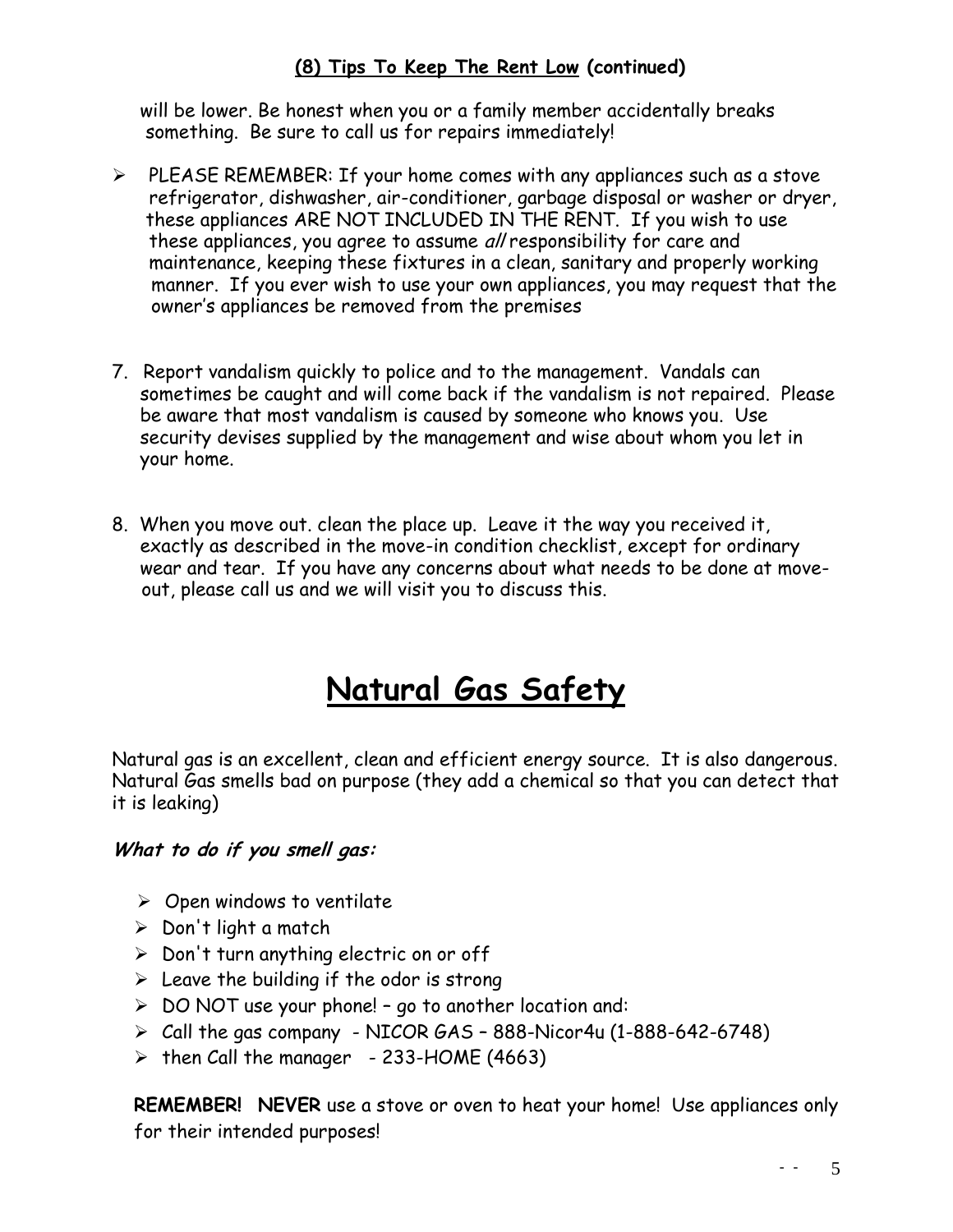#### **(8) Tips To Keep The Rent Low (continued)**

will be lower. Be honest when you or a family member accidentally breaks something. Be sure to call us for repairs immediately!

- $\triangleright$  PLEASE REMEMBER: If your home comes with any appliances such as a stove refrigerator, dishwasher, air-conditioner, garbage disposal or washer or dryer, these appliances ARE NOT INCLUDED IN THE RENT. If you wish to use these appliances, you agree to assume all responsibility for care and maintenance, keeping these fixtures in a clean, sanitary and properly working manner. If you ever wish to use your own appliances, you may request that the owner's appliances be removed from the premises
- 7. Report vandalism quickly to police and to the management. Vandals can sometimes be caught and will come back if the vandalism is not repaired. Please be aware that most vandalism is caused by someone who knows you. Use security devises supplied by the management and wise about whom you let in your home.
- 8. When you move out. clean the place up. Leave it the way you received it, exactly as described in the move-in condition checklist, except for ordinary wear and tear. If you have any concerns about what needs to be done at move out, please call us and we will visit you to discuss this.

### **Natural Gas Safety**

Natural gas is an excellent, clean and efficient energy source. It is also dangerous. Natural Gas smells bad on purpose (they add a chemical so that you can detect that it is leaking)

#### **What to do if you smell gas:**

- $\triangleright$  Open windows to ventilate
- $\triangleright$  Don't light a match
- $\triangleright$  Don't turn anything electric on or off
- $\geq$  Leave the building if the odor is strong
- $\triangleright$  DO NOT use your phone! go to another location and:
- $\triangleright$  Call the gas company NICOR GAS 888-Nicor4u (1-888-642-6748)
- $\triangleright$  then Call the manager 233-HOME (4663)

**REMEMBER! NEVER** use a stove or oven to heat your home! Use appliances only for their intended purposes!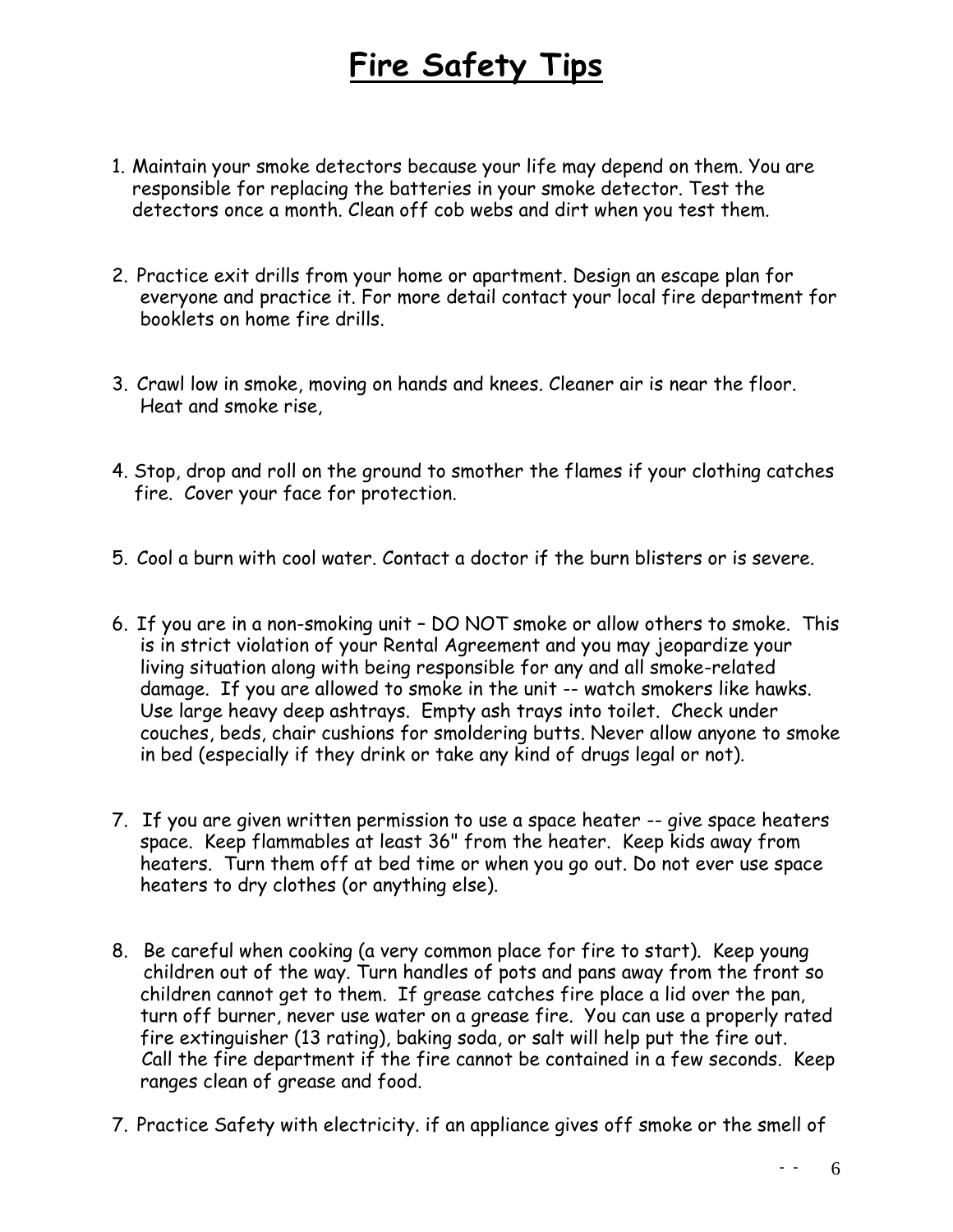### **Fire Safety Tips**

- 1. Maintain your smoke detectors because your life may depend on them. You are responsible for replacing the batteries in your smoke detector. Test the detectors once a month. Clean off cob webs and dirt when you test them.
- 2. Practice exit drills from your home or apartment. Design an escape plan for everyone and practice it. For more detail contact your local fire department for booklets on home fire drills.
- 3. Crawl low in smoke, moving on hands and knees. Cleaner air is near the floor. Heat and smoke rise,
- 4. Stop, drop and roll on the ground to smother the flames if your clothing catches fire. Cover your face for protection.
- 5. Cool a burn with cool water. Contact a doctor if the burn blisters or is severe.
- 6. If you are in a non-smoking unit DO NOT smoke or allow others to smoke. This is in strict violation of your Rental Agreement and you may jeopardize your living situation along with being responsible for any and all smoke-related damage. If you are allowed to smoke in the unit -- watch smokers like hawks. Use large heavy deep ashtrays. Empty ash trays into toilet. Check under couches, beds, chair cushions for smoldering butts. Never allow anyone to smoke in bed (especially if they drink or take any kind of drugs legal or not).
- 7. If you are given written permission to use a space heater -- give space heaters space. Keep flammables at least 36" from the heater. Keep kids away from heaters. Turn them off at bed time or when you go out. Do not ever use space heaters to dry clothes (or anything else).
- 8. Be careful when cooking (a very common place for fire to start). Keep young children out of the way. Turn handles of pots and pans away from the front so children cannot get to them. If grease catches fire place a lid over the pan, turn off burner, never use water on a grease fire. You can use a properly rated fire extinguisher (13 rating), baking soda, or salt will help put the fire out. Call the fire department if the fire cannot be contained in a few seconds. Keep ranges clean of grease and food.
- 7. Practice Safety with electricity. if an appliance gives off smoke or the smell of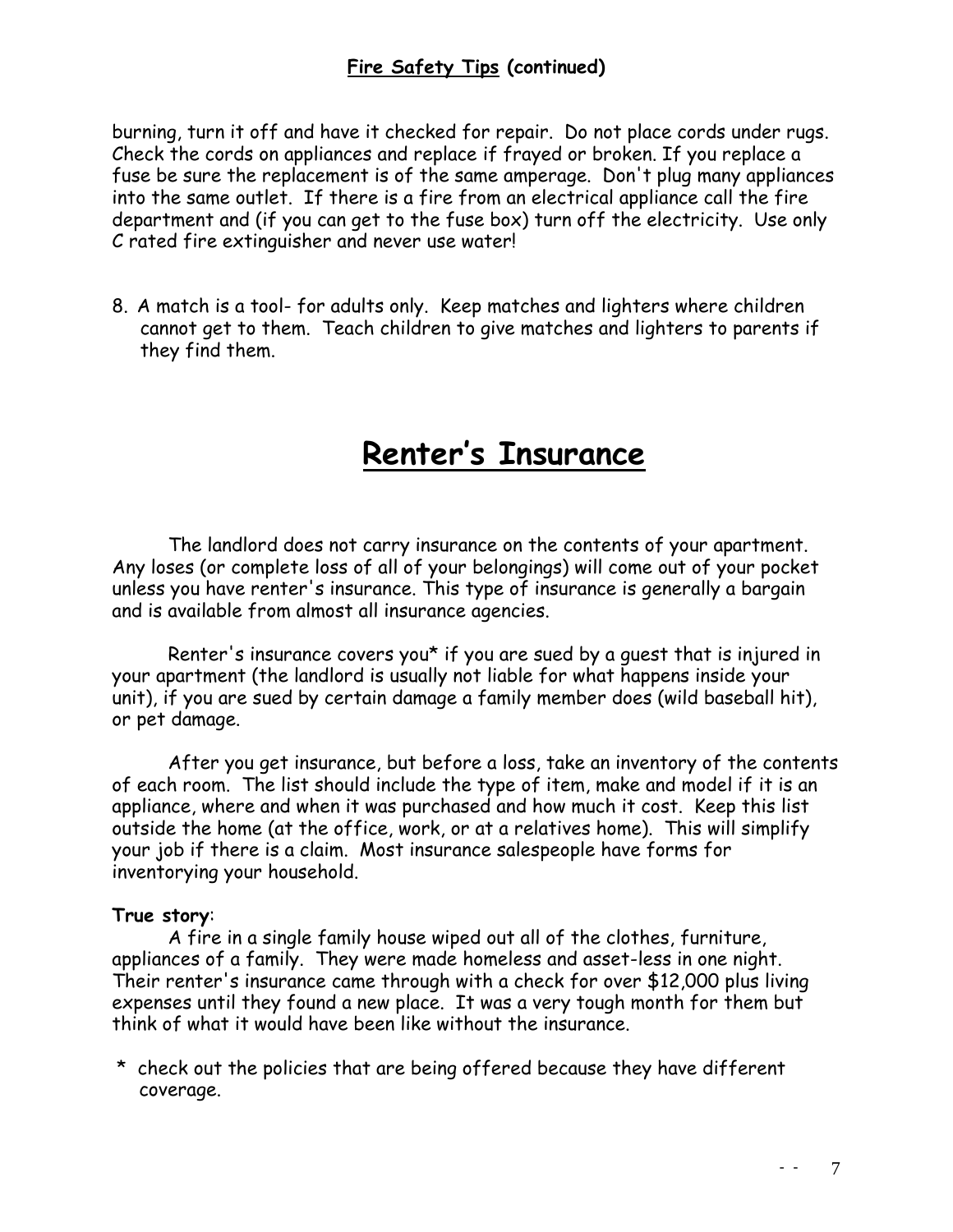burning, turn it off and have it checked for repair. Do not place cords under rugs. Check the cords on appliances and replace if frayed or broken. If you replace a fuse be sure the replacement is of the same amperage. Don't plug many appliances into the same outlet. If there is a fire from an electrical appliance call the fire department and (if you can get to the fuse box) turn off the electricity. Use only C rated fire extinguisher and never use water!

8. A match is a tool- for adults only. Keep matches and lighters where children cannot get to them. Teach children to give matches and lighters to parents if they find them.

#### **Renter's Insurance**

The landlord does not carry insurance on the contents of your apartment. Any loses (or complete loss of all of your belongings) will come out of your pocket unless you have renter's insurance. This type of insurance is generally a bargain and is available from almost all insurance agencies.

Renter's insurance covers you\* if you are sued by a guest that is injured in your apartment (the landlord is usually not liable for what happens inside your unit), if you are sued by certain damage a family member does (wild baseball hit), or pet damage.

After you get insurance, but before a loss, take an inventory of the contents of each room. The list should include the type of item, make and model if it is an appliance, where and when it was purchased and how much it cost. Keep this list outside the home (at the office, work, or at a relatives home). This will simplify your job if there is a claim. Most insurance salespeople have forms for inventorying your household.

#### **True story**:

A fire in a single family house wiped out all of the clothes, furniture, appliances of a family. They were made homeless and asset-less in one night. Their renter's insurance came through with a check for over \$12,000 plus living expenses until they found a new place. It was a very tough month for them but think of what it would have been like without the insurance.

\* check out the policies that are being offered because they have different coverage.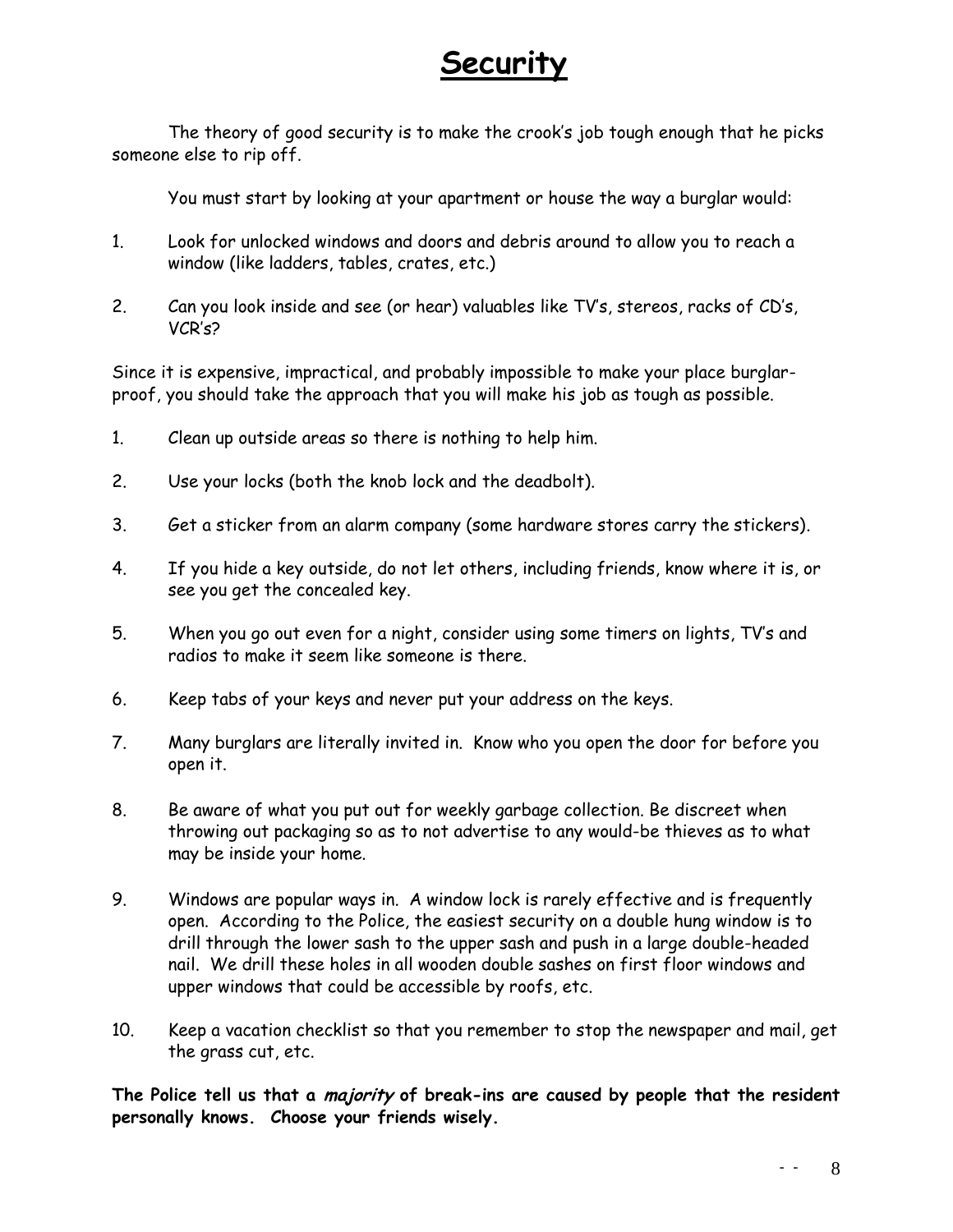#### **Security**

The theory of good security is to make the crook's job tough enough that he picks someone else to rip off.

You must start by looking at your apartment or house the way a burglar would:

- 1. Look for unlocked windows and doors and debris around to allow you to reach a window (like ladders, tables, crates, etc.)
- 2. Can you look inside and see (or hear) valuables like TV's, stereos, racks of CD's, VCR's?

Since it is expensive, impractical, and probably impossible to make your place burglarproof, you should take the approach that you will make his job as tough as possible.

- 1. Clean up outside areas so there is nothing to help him.
- 2. Use your locks (both the knob lock and the deadbolt).
- 3. Get a sticker from an alarm company (some hardware stores carry the stickers).
- 4. If you hide a key outside, do not let others, including friends, know where it is, or see you get the concealed key.
- 5. When you go out even for a night, consider using some timers on lights, TV's and radios to make it seem like someone is there.
- 6. Keep tabs of your keys and never put your address on the keys.
- 7. Many burglars are literally invited in. Know who you open the door for before you open it.
- 8. Be aware of what you put out for weekly garbage collection. Be discreet when throwing out packaging so as to not advertise to any would-be thieves as to what may be inside your home.
- 9. Windows are popular ways in. A window lock is rarely effective and is frequently open. According to the Police, the easiest security on a double hung window is to drill through the lower sash to the upper sash and push in a large double-headed nail. We drill these holes in all wooden double sashes on first floor windows and upper windows that could be accessible by roofs, etc.
- 10. Keep a vacation checklist so that you remember to stop the newspaper and mail, get the grass cut, etc.

**The Police tell us that a majority of break-ins are caused by people that the resident personally knows. Choose your friends wisely.**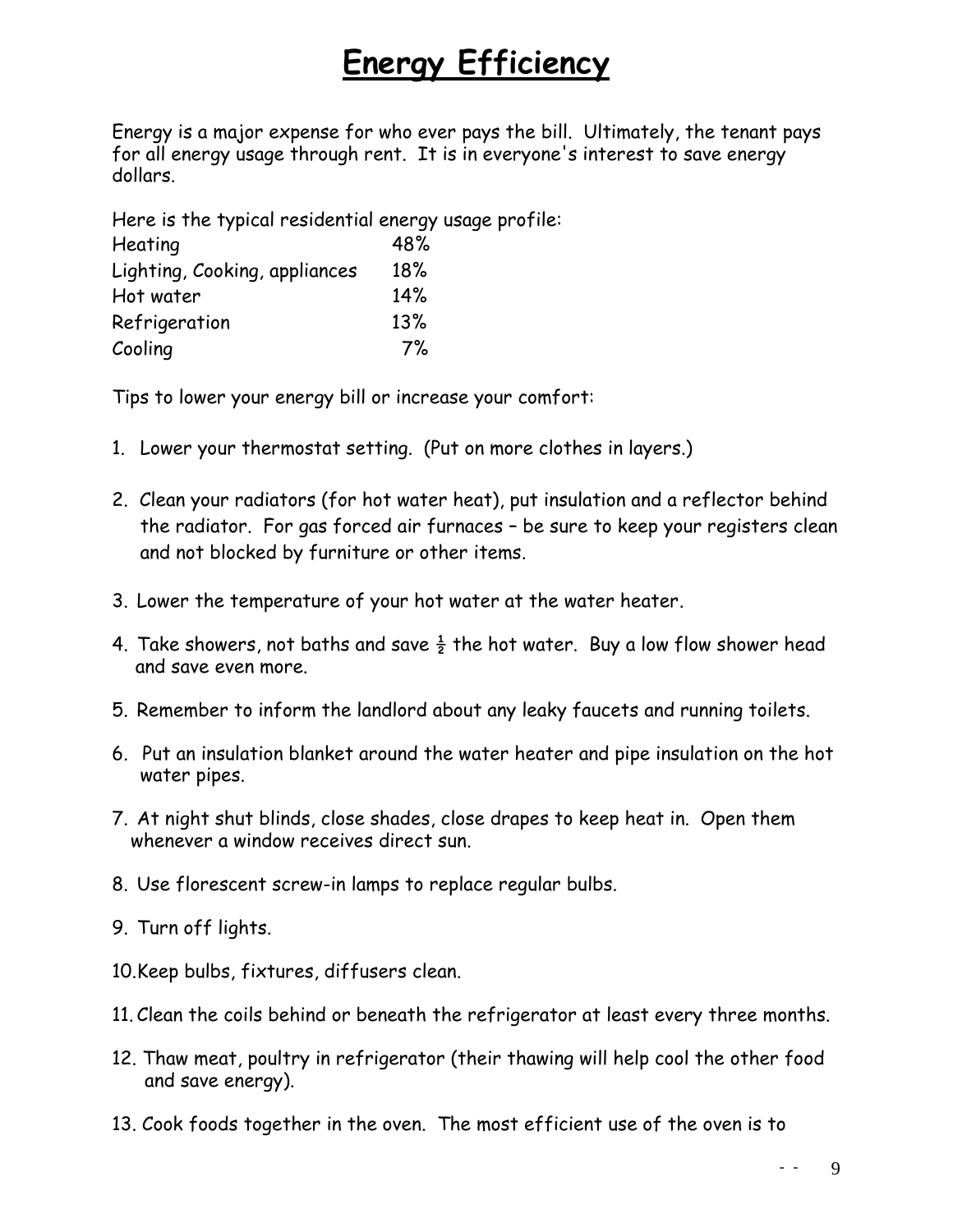### **Energy Efficiency**

Energy is a major expense for who ever pays the bill. Ultimately, the tenant pays for all energy usage through rent. It is in everyone's interest to save energy dollars.

Here is the typical residential energy usage profile:

| Heating                       | 48% |
|-------------------------------|-----|
| Lighting, Cooking, appliances | 18% |
| Hot water                     | 14% |
| Refrigeration                 | 13% |
| Cooling                       | 7%  |

Tips to lower your energy bill or increase your comfort:

- 1. Lower your thermostat setting. (Put on more clothes in layers.)
- 2. Clean your radiators (for hot water heat), put insulation and a reflector behind the radiator. For gas forced air furnaces – be sure to keep your registers clean and not blocked by furniture or other items.
- 3. Lower the temperature of your hot water at the water heater.
- 4. Take showers, not baths and save  $\frac{1}{2}$  the hot water. Buy a low flow shower head and save even more.
- 5. Remember to inform the landlord about any leaky faucets and running toilets.
- 6. Put an insulation blanket around the water heater and pipe insulation on the hot water pipes.
- 7. At night shut blinds, close shades, close drapes to keep heat in. Open them whenever a window receives direct sun.
- 8. Use florescent screw-in lamps to replace regular bulbs.
- 9. Turn off lights.
- 10.Keep bulbs, fixtures, diffusers clean.
- 11. Clean the coils behind or beneath the refrigerator at least every three months.
- 12. Thaw meat, poultry in refrigerator (their thawing will help cool the other food and save energy).
- 13. Cook foods together in the oven. The most efficient use of the oven is to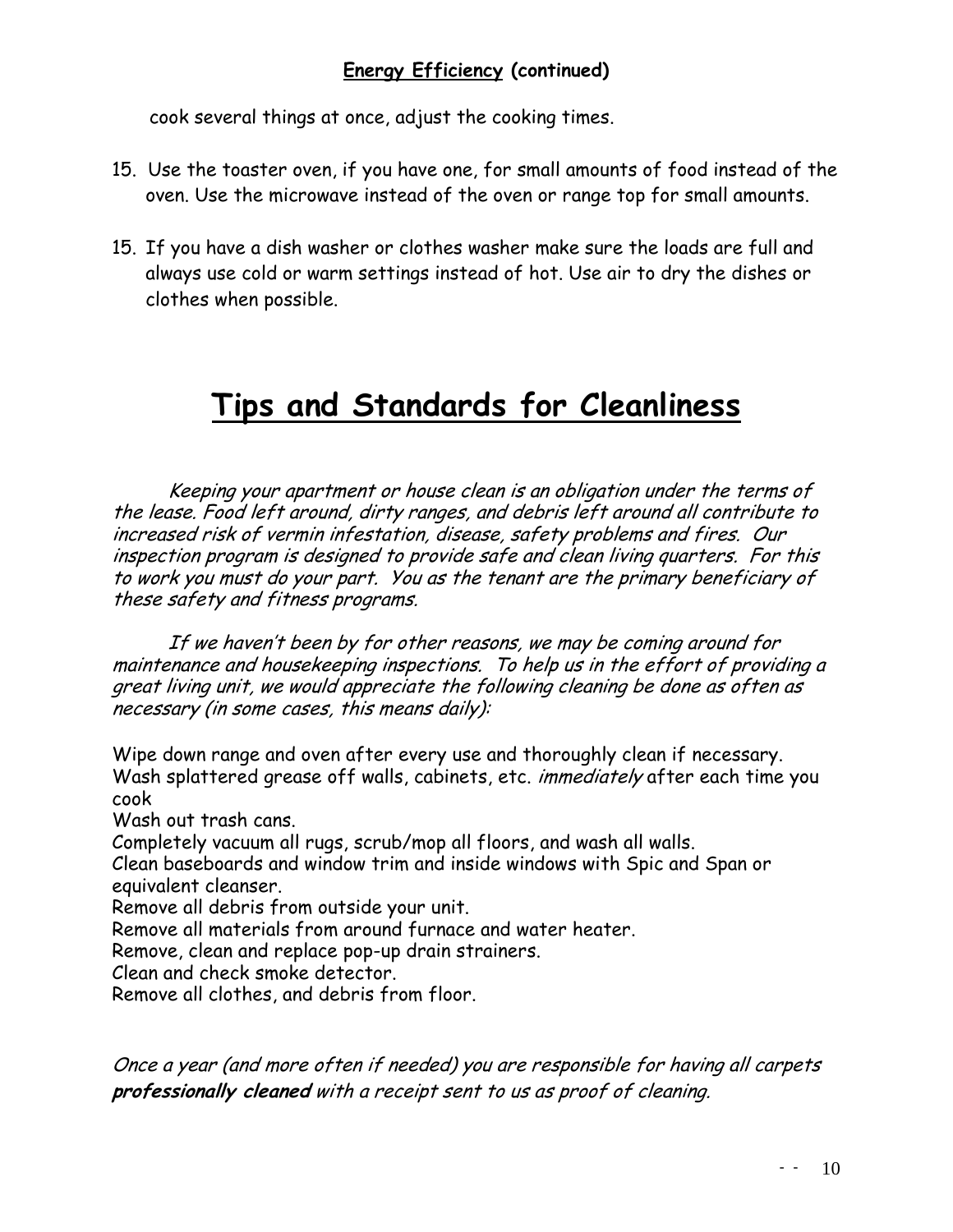#### **Energy Efficiency (continued)**

cook several things at once, adjust the cooking times.

- 15. Use the toaster oven, if you have one, for small amounts of food instead of the oven. Use the microwave instead of the oven or range top for small amounts.
- 15. If you have a dish washer or clothes washer make sure the loads are full and always use cold or warm settings instead of hot. Use air to dry the dishes or clothes when possible.

### **Tips and Standards for Cleanliness**

Keeping your apartment or house clean is an obligation under the terms of the lease. Food left around, dirty ranges, and debris left around all contribute to increased risk of vermin infestation, disease, safety problems and fires. Our inspection program is designed to provide safe and clean living quarters. For this to work you must do your part. You as the tenant are the primary beneficiary of these safety and fitness programs.

If we haven't been by for other reasons, we may be coming around for maintenance and housekeeping inspections. To help us in the effort of providing a great living unit, we would appreciate the following cleaning be done as often as necessary (in some cases, this means daily):

Wipe down range and oven after every use and thoroughly clean if necessary. Wash splattered grease off walls, cabinets, etc. *immediately* after each time you cook

Wash out trash cans.

Completely vacuum all rugs, scrub/mop all floors, and wash all walls. Clean baseboards and window trim and inside windows with Spic and Span or

equivalent cleanser.

Remove all debris from outside your unit.

Remove all materials from around furnace and water heater.

Remove, clean and replace pop-up drain strainers.

Clean and check smoke detector.

Remove all clothes, and debris from floor.

Once a year (and more often if needed) you are responsible for having all carpets **professionally cleaned** with a receipt sent to us as proof of cleaning.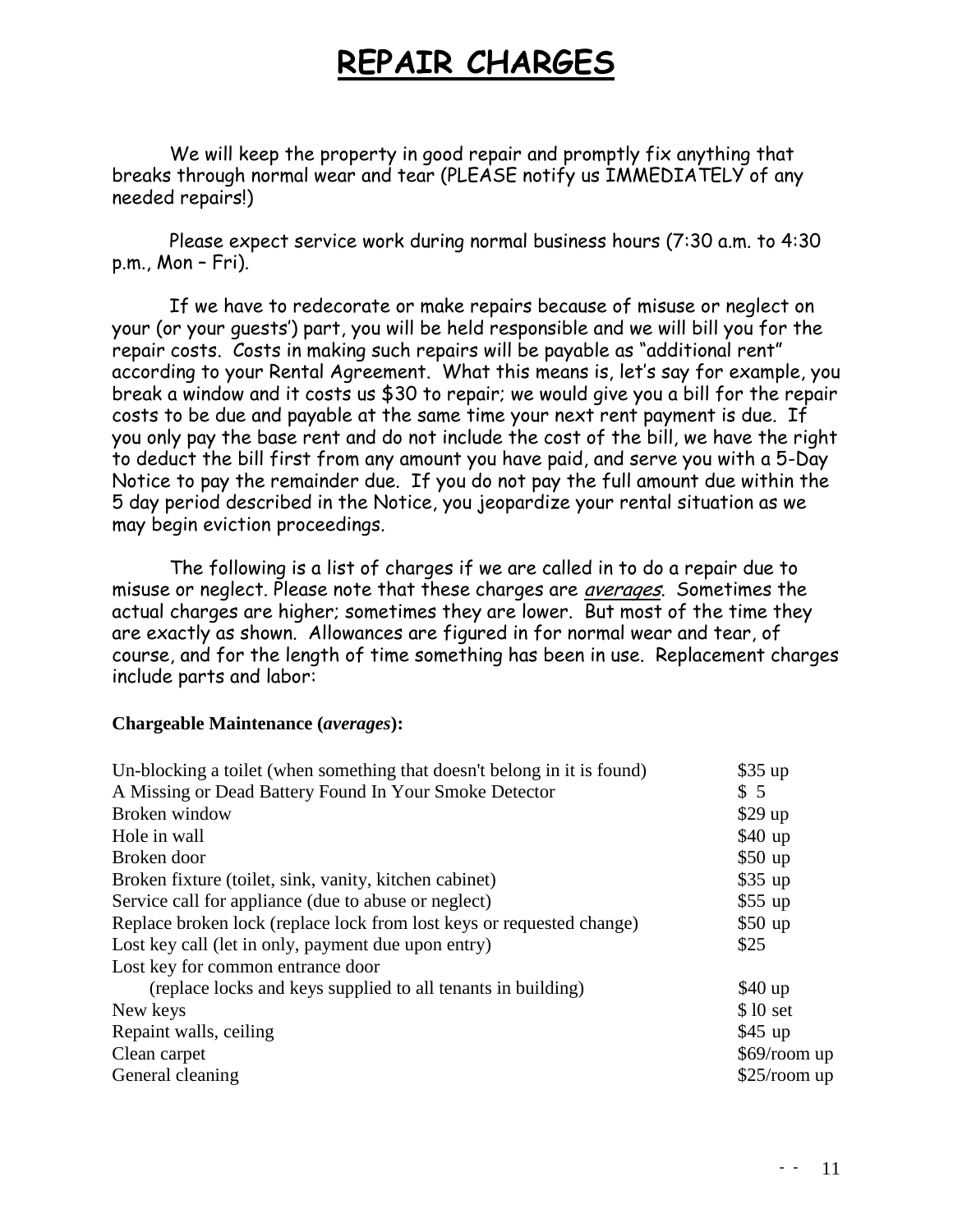### **REPAIR CHARGES**

We will keep the property in good repair and promptly fix anything that breaks through normal wear and tear (PLEASE notify us IMMEDIATELY of any needed repairs!)

Please expect service work during normal business hours (7:30 a.m. to 4:30 p.m., Mon – Fri).

If we have to redecorate or make repairs because of misuse or neglect on your (or your guests') part, you will be held responsible and we will bill you for the repair costs. Costs in making such repairs will be payable as "additional rent" according to your Rental Agreement. What this means is, let's say for example, you break a window and it costs us \$30 to repair; we would give you a bill for the repair costs to be due and payable at the same time your next rent payment is due. If you only pay the base rent and do not include the cost of the bill, we have the right to deduct the bill first from any amount you have paid, and serve you with a 5-Day Notice to pay the remainder due. If you do not pay the full amount due within the 5 day period described in the Notice, you jeopardize your rental situation as we may begin eviction proceedings.

The following is a list of charges if we are called in to do a repair due to misuse or neglect. Please note that these charges are *averages*. Sometimes the actual charges are higher; sometimes they are lower. But most of the time they are exactly as shown. Allowances are figured in for normal wear and tear, of course, and for the length of time something has been in use. Replacement charges include parts and labor:

#### **Chargeable Maintenance (***averages***):**

| Un-blocking a toilet (when something that doesn't belong in it is found) | $$35$ up       |
|--------------------------------------------------------------------------|----------------|
| A Missing or Dead Battery Found In Your Smoke Detector                   | \$5            |
| Broken window                                                            | $$29$ up       |
| Hole in wall                                                             | $$40$ up       |
| Broken door                                                              | $$50$ up       |
| Broken fixture (toilet, sink, vanity, kitchen cabinet)                   | $$35$ up       |
| Service call for appliance (due to abuse or neglect)                     | \$55 up        |
| Replace broken lock (replace lock from lost keys or requested change)    | $$50$ up       |
| Lost key call (let in only, payment due upon entry)                      | \$25           |
| Lost key for common entrance door                                        |                |
| (replace locks and keys supplied to all tenants in building)             | $$40$ up       |
| New keys                                                                 | \$10 set       |
| Repaint walls, ceiling                                                   | $$45$ up       |
| Clean carpet                                                             | $$69$ /room up |
| General cleaning                                                         | $$25$ /room up |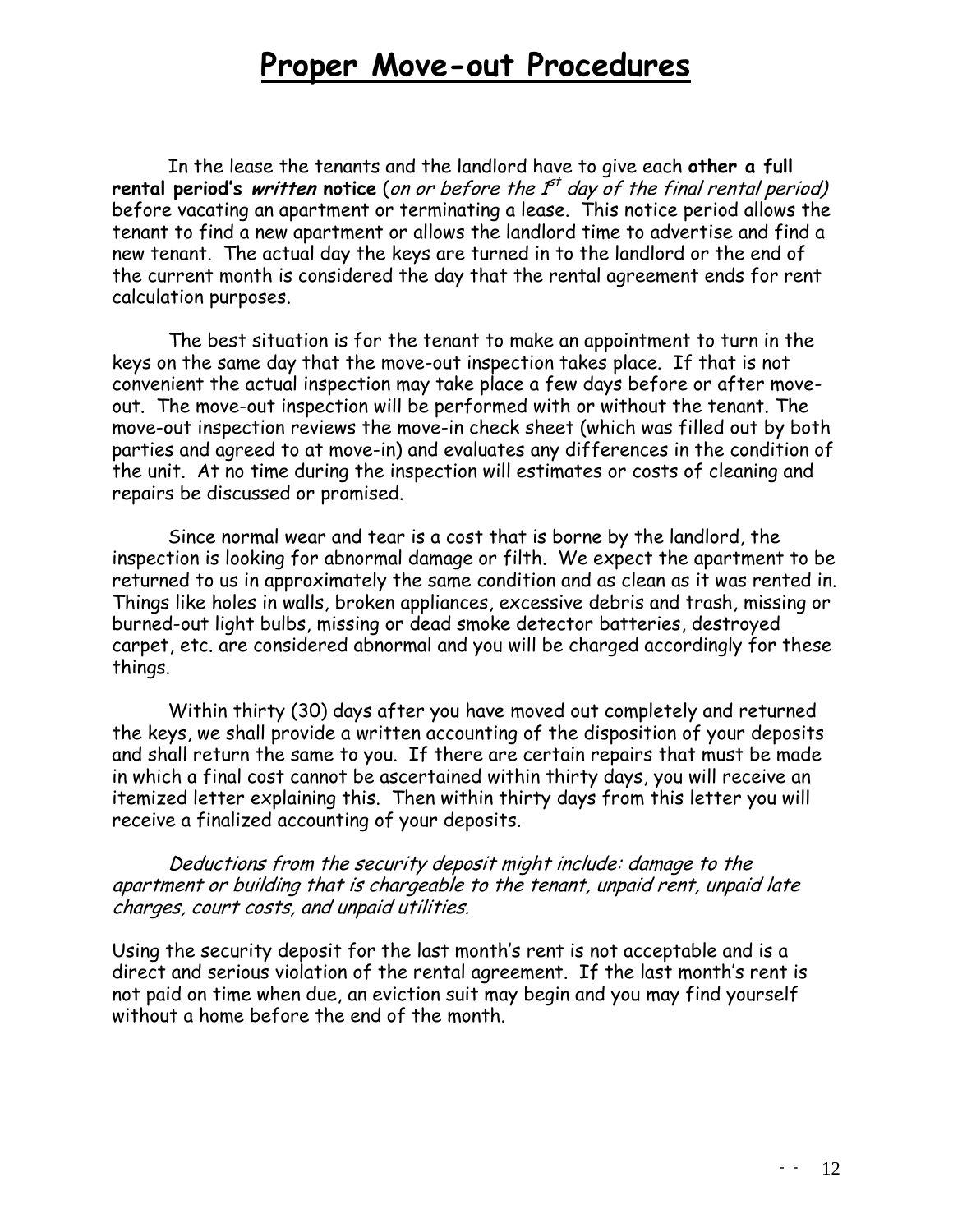#### **Proper Move-out Procedures**

In the lease the tenants and the landlord have to give each **other a full rental period's** *written* **notice** (*on or before the 1<sup>st</sup> day of the final rental period)* before vacating an apartment or terminating a lease. This notice period allows the tenant to find a new apartment or allows the landlord time to advertise and find a new tenant. The actual day the keys are turned in to the landlord or the end of the current month is considered the day that the rental agreement ends for rent calculation purposes.

The best situation is for the tenant to make an appointment to turn in the keys on the same day that the move-out inspection takes place. If that is not convenient the actual inspection may take place a few days before or after moveout. The move-out inspection will be performed with or without the tenant. The move-out inspection reviews the move-in check sheet (which was filled out by both parties and agreed to at move-in) and evaluates any differences in the condition of the unit. At no time during the inspection will estimates or costs of cleaning and repairs be discussed or promised.

Since normal wear and tear is a cost that is borne by the landlord, the inspection is looking for abnormal damage or filth. We expect the apartment to be returned to us in approximately the same condition and as clean as it was rented in. Things like holes in walls, broken appliances, excessive debris and trash, missing or burned-out light bulbs, missing or dead smoke detector batteries, destroyed carpet, etc. are considered abnormal and you will be charged accordingly for these things.

Within thirty (30) days after you have moved out completely and returned the keys, we shall provide a written accounting of the disposition of your deposits and shall return the same to you. If there are certain repairs that must be made in which a final cost cannot be ascertained within thirty days, you will receive an itemized letter explaining this. Then within thirty days from this letter you will receive a finalized accounting of your deposits.

Deductions from the security deposit might include: damage to the apartment or building that is chargeable to the tenant, unpaid rent, unpaid late charges, court costs, and unpaid utilities.

Using the security deposit for the last month's rent is not acceptable and is a direct and serious violation of the rental agreement. If the last month's rent is not paid on time when due, an eviction suit may begin and you may find yourself without a home before the end of the month.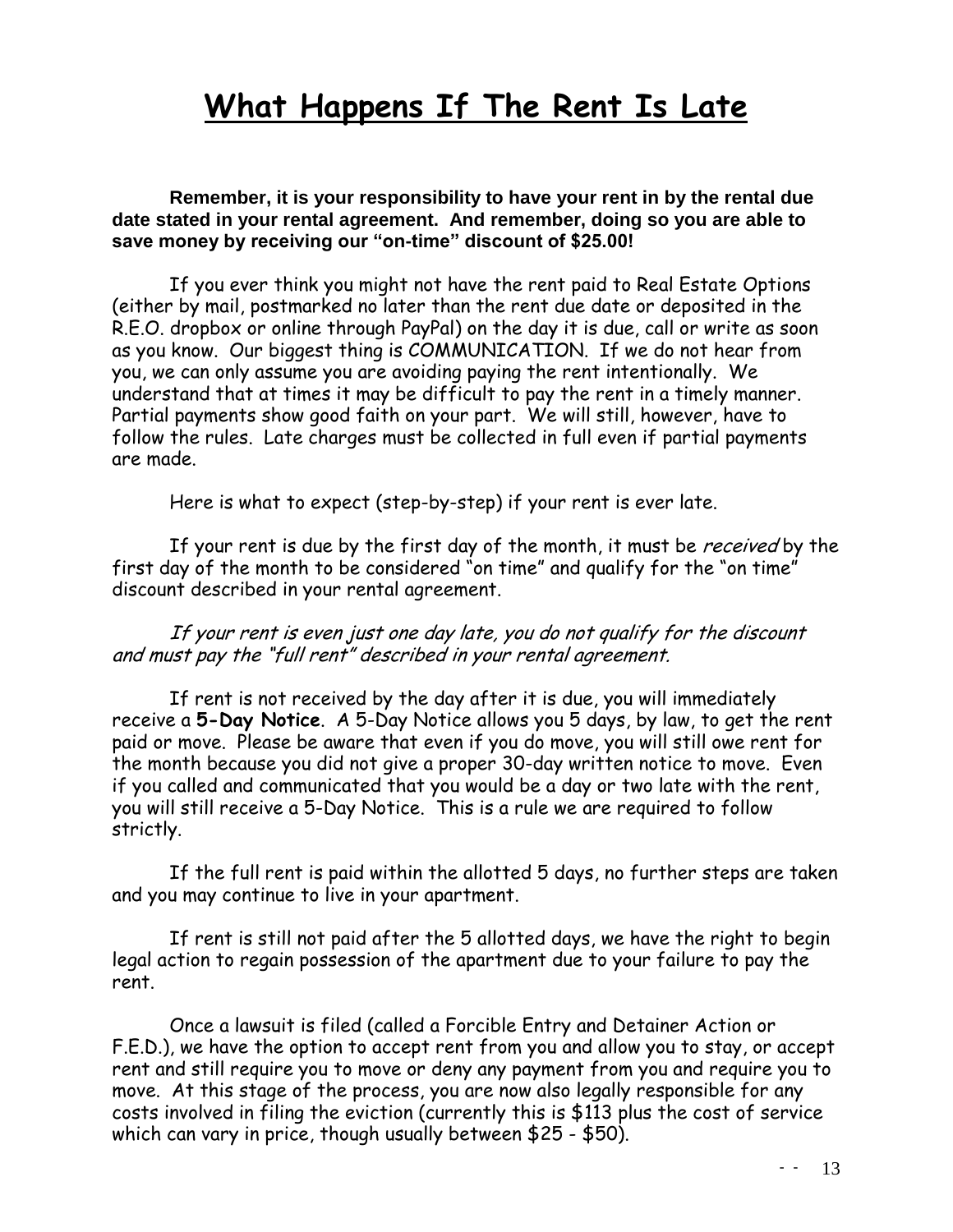#### **What Happens If The Rent Is Late**

**Remember, it is your responsibility to have your rent in by the rental due date stated in your rental agreement. And remember, doing so you are able to save money by receiving our "on-time" discount of \$25.00!**

If you ever think you might not have the rent paid to Real Estate Options (either by mail, postmarked no later than the rent due date or deposited in the R.E.O. dropbox or online through PayPal) on the day it is due, call or write as soon as you know. Our biggest thing is COMMUNICATION. If we do not hear from you, we can only assume you are avoiding paying the rent intentionally. We understand that at times it may be difficult to pay the rent in a timely manner. Partial payments show good faith on your part. We will still, however, have to follow the rules. Late charges must be collected in full even if partial payments are made.

Here is what to expect (step-by-step) if your rent is ever late.

If your rent is due by the first day of the month, it must be *received* by the first day of the month to be considered "on time" and qualify for the "on time" discount described in your rental agreement.

If your rent is even just one day late, you do not qualify for the discount and must pay the "full rent" described in your rental agreement.

If rent is not received by the day after it is due, you will immediately receive a **5-Day Notice**. A 5-Day Notice allows you 5 days, by law, to get the rent paid or move. Please be aware that even if you do move, you will still owe rent for the month because you did not give a proper 30-day written notice to move. Even if you called and communicated that you would be a day or two late with the rent, you will still receive a 5-Day Notice. This is a rule we are required to follow strictly.

If the full rent is paid within the allotted 5 days, no further steps are taken and you may continue to live in your apartment.

If rent is still not paid after the 5 allotted days, we have the right to begin legal action to regain possession of the apartment due to your failure to pay the rent.

Once a lawsuit is filed (called a Forcible Entry and Detainer Action or F.E.D.), we have the option to accept rent from you and allow you to stay, or accept rent and still require you to move or deny any payment from you and require you to move. At this stage of the process, you are now also legally responsible for any costs involved in filing the eviction (currently this is \$113 plus the cost of service which can vary in price, though usually between \$25 - \$50).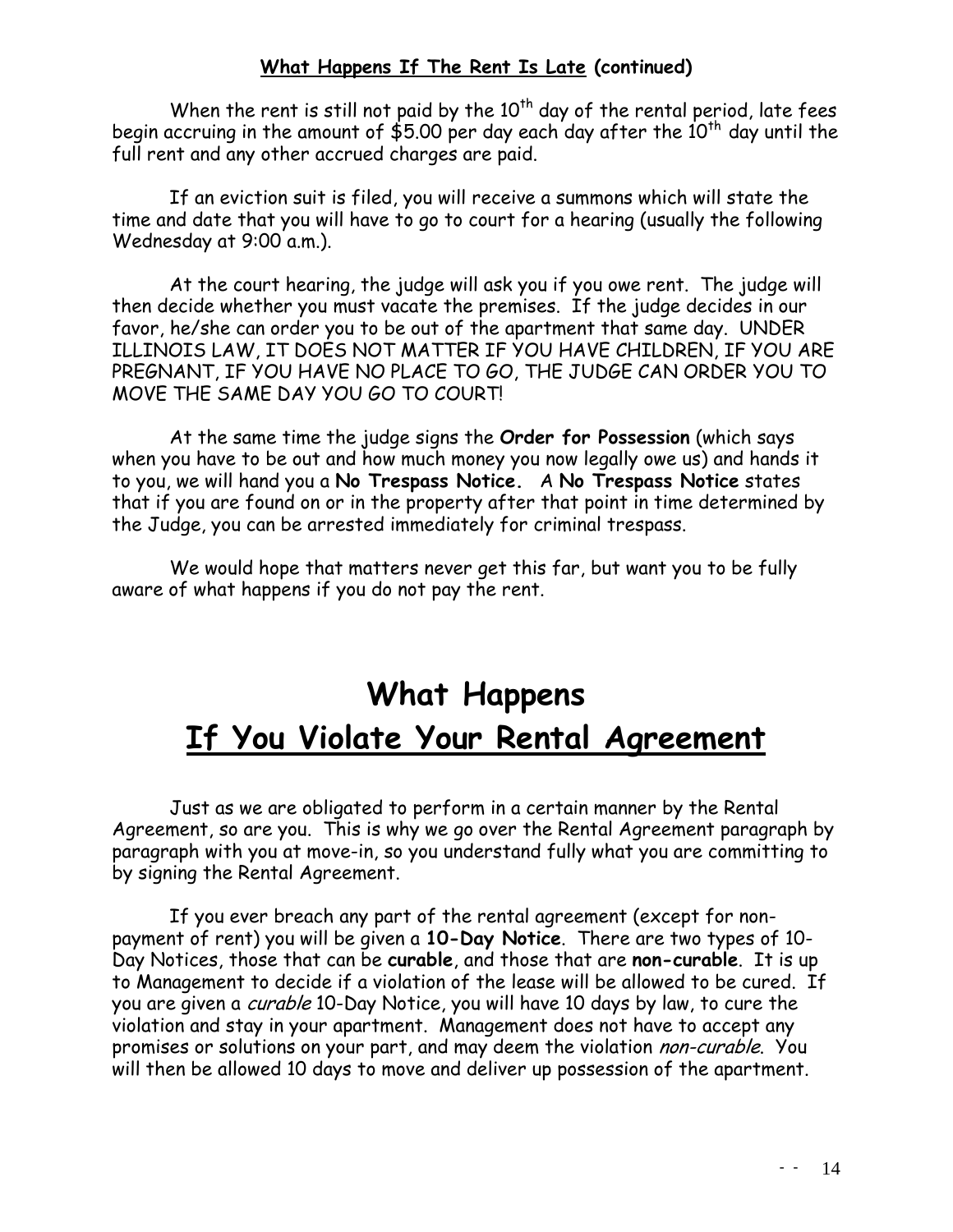#### **What Happens If The Rent Is Late (continued)**

When the rent is still not paid by the  $10<sup>th</sup>$  day of the rental period, late fees begin accruing in the amount of  $$5.00$  per day each day after the  $10^{th}$  day until the full rent and any other accrued charges are paid.

If an eviction suit is filed, you will receive a summons which will state the time and date that you will have to go to court for a hearing (usually the following Wednesday at 9:00 a.m.).

At the court hearing, the judge will ask you if you owe rent. The judge will then decide whether you must vacate the premises. If the judge decides in our favor, he/she can order you to be out of the apartment that same day. UNDER ILLINOIS LAW, IT DOES NOT MATTER IF YOU HAVE CHILDREN, IF YOU ARE PREGNANT, IF YOU HAVE NO PLACE TO GO, THE JUDGE CAN ORDER YOU TO MOVE THE SAME DAY YOU GO TO COURT!

At the same time the judge signs the **Order for Possession** (which says when you have to be out and how much money you now legally owe us) and hands it to you, we will hand you a **No Trespass Notice.** A **No Trespass Notice** states that if you are found on or in the property after that point in time determined by the Judge, you can be arrested immediately for criminal trespass.

We would hope that matters never get this far, but want you to be fully aware of what happens if you do not pay the rent.

### **What Happens If You Violate Your Rental Agreement**

Just as we are obligated to perform in a certain manner by the Rental Agreement, so are you. This is why we go over the Rental Agreement paragraph by paragraph with you at move-in, so you understand fully what you are committing to by signing the Rental Agreement.

If you ever breach any part of the rental agreement (except for nonpayment of rent) you will be given a **10-Day Notice**. There are two types of 10- Day Notices, those that can be **curable**, and those that are **non-curable**. It is up to Management to decide if a violation of the lease will be allowed to be cured. If you are given a curable 10-Day Notice, you will have 10 days by law, to cure the violation and stay in your apartment. Management does not have to accept any promises or solutions on your part, and may deem the violation *non-curable*. You will then be allowed 10 days to move and deliver up possession of the apartment.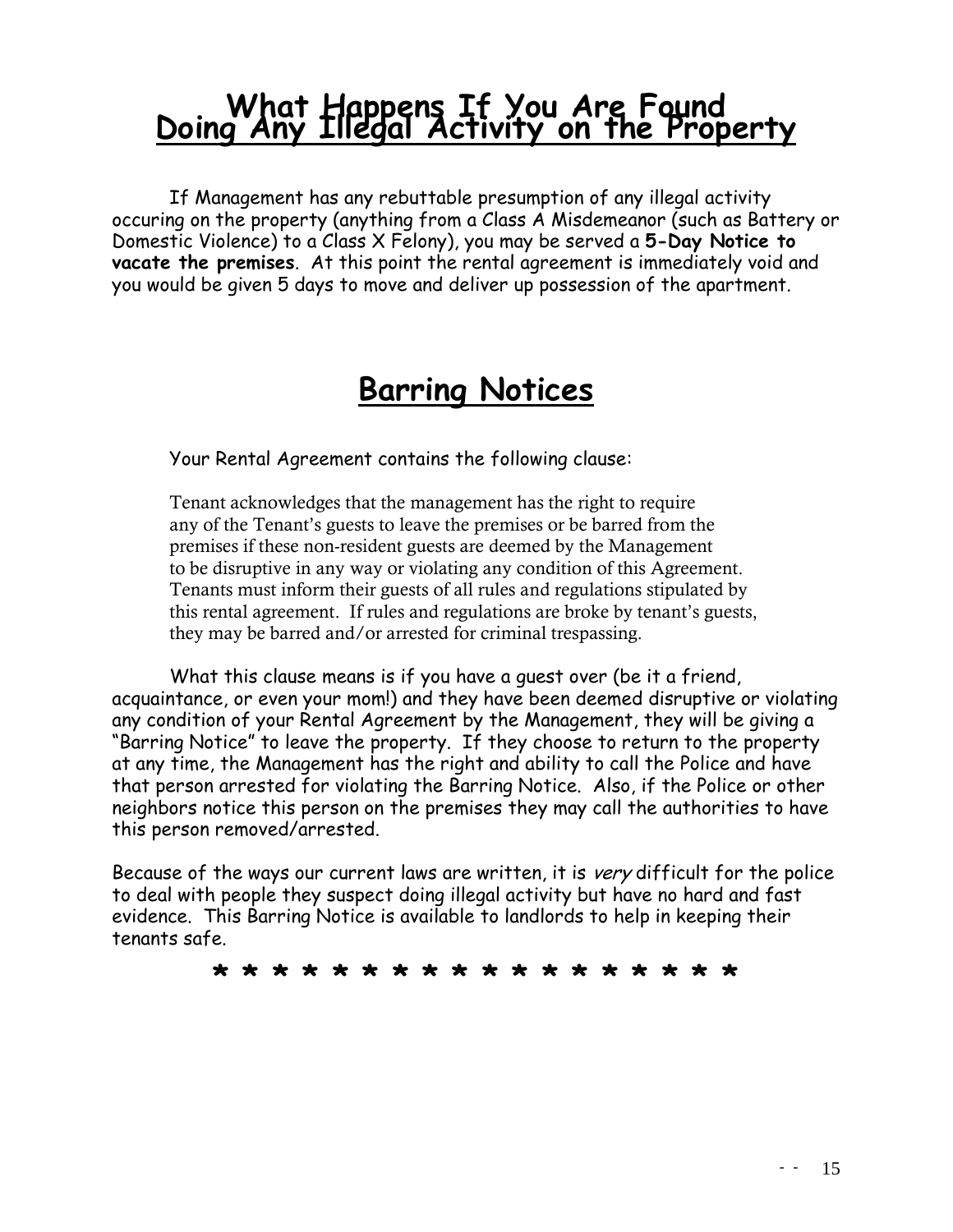## **What Happens If You Are Found Doing Any Illegal Activity on the Property**

If Management has any rebuttable presumption of any illegal activity occuring on the property (anything from a Class A Misdemeanor (such as Battery or Domestic Violence) to a Class X Felony), you may be served a **5-Day Notice to vacate the premises**. At this point the rental agreement is immediately void and you would be given 5 days to move and deliver up possession of the apartment.

#### **Barring Notices**

Your Rental Agreement contains the following clause:

Tenant acknowledges that the management has the right to require any of the Tenant's guests to leave the premises or be barred from the premises if these non-resident guests are deemed by the Management to be disruptive in any way or violating any condition of this Agreement. Tenants must inform their guests of all rules and regulations stipulated by this rental agreement. If rules and regulations are broke by tenant's guests, they may be barred and/or arrested for criminal trespassing.

What this clause means is if you have a guest over (be it a friend, acquaintance, or even your mom!) and they have been deemed disruptive or violating any condition of your Rental Agreement by the Management, they will be giving a "Barring Notice" to leave the property. If they choose to return to the property at any time, the Management has the right and ability to call the Police and have that person arrested for violating the Barring Notice. Also, if the Police or other neighbors notice this person on the premises they may call the authorities to have this person removed/arrested.

Because of the ways our current laws are written, it is very difficult for the police to deal with people they suspect doing illegal activity but have no hard and fast evidence. This Barring Notice is available to landlords to help in keeping their tenants safe.

#### **\* \* \* \* \* \* \* \* \* \* \* \* \* \* \* \* \* \***